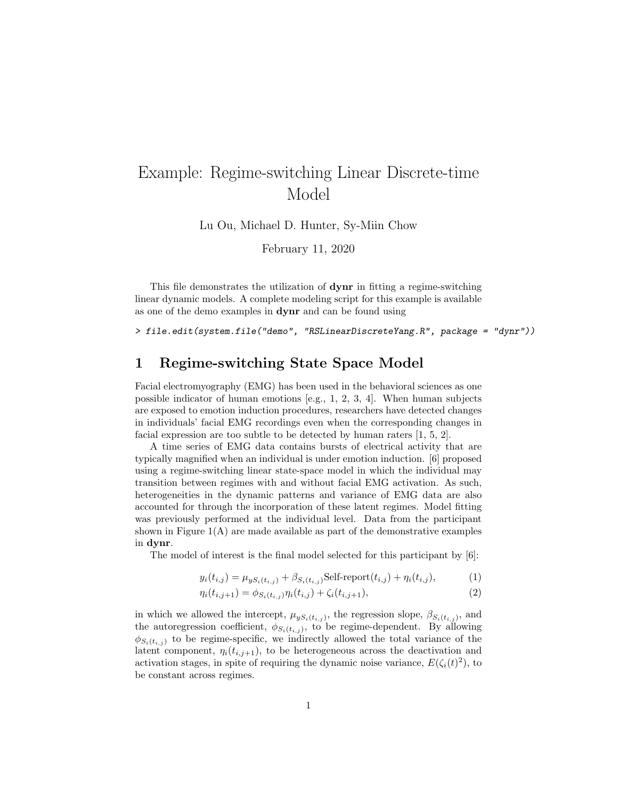# Example: Regime-switching Linear Discrete-time Model

Lu Ou, Michael D. Hunter, Sy-Miin Chow

February 11, 2020

This file demonstrates the utilization of dynr in fitting a regime-switching linear dynamic models. A complete modeling script for this example is available as one of the demo examples in dynr and can be found using

> file.edit(system.file("demo", "RSLinearDiscreteYang.R", package = "dynr"))

## 1 Regime-switching State Space Model

Facial electromyography (EMG) has been used in the behavioral sciences as one possible indicator of human emotions [e.g., 1, 2, 3, 4]. When human subjects are exposed to emotion induction procedures, researchers have detected changes in individuals' facial EMG recordings even when the corresponding changes in facial expression are too subtle to be detected by human raters [1, 5, 2].

A time series of EMG data contains bursts of electrical activity that are typically magnified when an individual is under emotion induction. [6] proposed using a regime-switching linear state-space model in which the individual may transition between regimes with and without facial EMG activation. As such, heterogeneities in the dynamic patterns and variance of EMG data are also accounted for through the incorporation of these latent regimes. Model fitting was previously performed at the individual level. Data from the participant shown in Figure 1(A) are made available as part of the demonstrative examples in dynr.

The model of interest is the final model selected for this participant by [6]:

$$
y_i(t_{i,j}) = \mu_{yS_i(t_{i,j})} + \beta_{S_i(t_{i,j})} \text{Self-report}(t_{i,j}) + \eta_i(t_{i,j}), \tag{1}
$$

$$
\eta_i(t_{i,j+1}) = \phi_{S_i(t_{i,j})}\eta_i(t_{i,j}) + \zeta_i(t_{i,j+1}),\tag{2}
$$

in which we allowed the intercept,  $\mu_{yS_i(t_{i,j})}$ , the regression slope,  $\beta_{S_i(t_{i,j})}$ , and the autoregression coefficient,  $\phi_{S_i(t_{i,j})}$ , to be regime-dependent. By allowing  $\phi_{S_i(t_{i,j})}$  to be regime-specific, we indirectly allowed the total variance of the latent component,  $\eta_i(t_{i,j+1})$ , to be heterogeneous across the deactivation and activation stages, in spite of requiring the dynamic noise variance,  $E(\zeta_i(t)^2)$ , to be constant across regimes.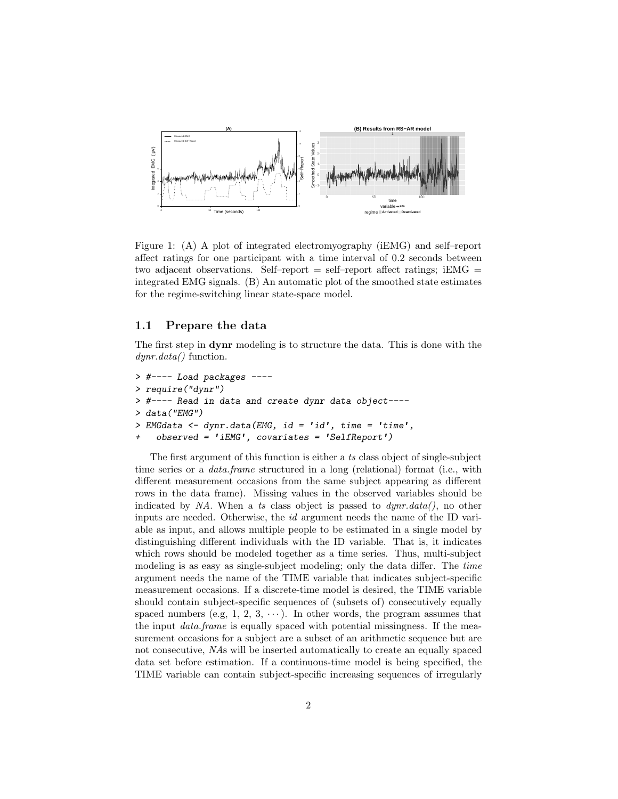

Figure 1: (A) A plot of integrated electromyography (iEMG) and self–report affect ratings for one participant with a time interval of 0.2 seconds between two adjacent observations. Self–report  $=$  self–report affect ratings; iEMG  $=$ integrated EMG signals. (B) An automatic plot of the smoothed state estimates for the regime-switching linear state-space model.

### 1.1 Prepare the data

The first step in dynr modeling is to structure the data. This is done with the  $dynr.data()$  function.

```
> #---- Load packages ----
> require("dynr")
> #---- Read in data and create dynr data object----
> data("EMG")
> EMGdata <- dynr.data(EMG, id = 'id', time = 'time',
+ observed = 'iEMG', covariates = 'SelfReport')
```
The first argument of this function is either a ts class object of single-subject time series or a *data.frame* structured in a long (relational) format (i.e., with different measurement occasions from the same subject appearing as different rows in the data frame). Missing values in the observed variables should be indicated by NA. When a ts class object is passed to  $dynr.data(),$  no other inputs are needed. Otherwise, the id argument needs the name of the ID variable as input, and allows multiple people to be estimated in a single model by distinguishing different individuals with the ID variable. That is, it indicates which rows should be modeled together as a time series. Thus, multi-subject modeling is as easy as single-subject modeling; only the data differ. The time argument needs the name of the TIME variable that indicates subject-specific measurement occasions. If a discrete-time model is desired, the TIME variable should contain subject-specific sequences of (subsets of) consecutively equally spaced numbers (e.g, 1, 2, 3,  $\cdots$ ). In other words, the program assumes that the input *data.frame* is equally spaced with potential missingness. If the measurement occasions for a subject are a subset of an arithmetic sequence but are not consecutive, NAs will be inserted automatically to create an equally spaced data set before estimation. If a continuous-time model is being specified, the TIME variable can contain subject-specific increasing sequences of irregularly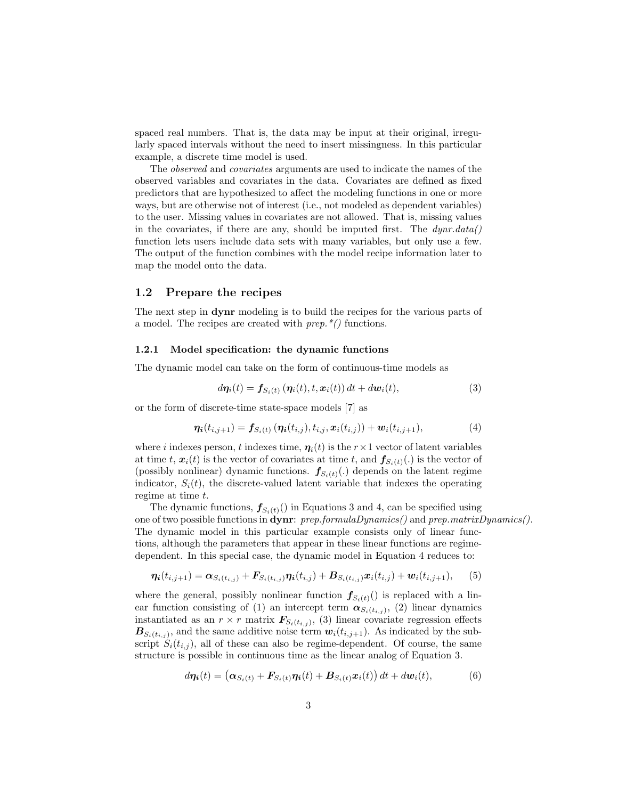spaced real numbers. That is, the data may be input at their original, irregularly spaced intervals without the need to insert missingness. In this particular example, a discrete time model is used.

The observed and covariates arguments are used to indicate the names of the observed variables and covariates in the data. Covariates are defined as fixed predictors that are hypothesized to affect the modeling functions in one or more ways, but are otherwise not of interest (i.e., not modeled as dependent variables) to the user. Missing values in covariates are not allowed. That is, missing values in the covariates, if there are any, should be imputed first. The  $dynr.data()$ function lets users include data sets with many variables, but only use a few. The output of the function combines with the model recipe information later to map the model onto the data.

#### 1.2 Prepare the recipes

The next step in dynr modeling is to build the recipes for the various parts of a model. The recipes are created with  $prep.*()$  functions.

#### 1.2.1 Model specification: the dynamic functions

The dynamic model can take on the form of continuous-time models as

$$
d\boldsymbol{\eta}_i(t) = \boldsymbol{f}_{S_i(t)}\left(\boldsymbol{\eta}_i(t), t, \boldsymbol{x}_i(t)\right)dt + d\boldsymbol{w}_i(t),\tag{3}
$$

or the form of discrete-time state-space models [7] as

$$
\eta_i(t_{i,j+1}) = f_{S_i(t)}(\eta_i(t_{i,j}), t_{i,j}, x_i(t_{i,j})) + w_i(t_{i,j+1}),
$$
\n(4)

where i indexes person, t indexes time,  $\eta_i(t)$  is the  $r \times 1$  vector of latent variables at time t,  $\mathbf{x}_i(t)$  is the vector of covariates at time t, and  $\mathbf{f}_{S_i(t)}(.)$  is the vector of (possibly nonlinear) dynamic functions.  $f_{S_i(t)}(.)$  depends on the latent regime indicator,  $S_i(t)$ , the discrete-valued latent variable that indexes the operating regime at time  $t$ .

The dynamic functions,  $f_{S_i(t)}(t)$  in Equations 3 and 4, can be specified using one of two possible functions in dynr: prep.formulaDynamics() and prep.matrixDynamics(). The dynamic model in this particular example consists only of linear functions, although the parameters that appear in these linear functions are regimedependent. In this special case, the dynamic model in Equation 4 reduces to:

$$
\eta_i(t_{i,j+1}) = \alpha_{S_i(t_{i,j})} + F_{S_i(t_{i,j})}\eta_i(t_{i,j}) + B_{S_i(t_{i,j})}x_i(t_{i,j}) + w_i(t_{i,j+1}),
$$
 (5)

where the general, possibly nonlinear function  $f_{S_i(t)}($ ) is replaced with a linear function consisting of (1) an intercept term  $\alpha_{S_i(t_{i,j})}$ , (2) linear dynamics instantiated as an  $r \times r$  matrix  $\mathbf{F}_{S_i(t_{i,j})}$ , (3) linear covariate regression effects  $B_{S_i(t_{i,j})}$ , and the same additive noise term  $w_i(t_{i,j+1})$ . As indicated by the subscript  $S_i(t_{i,j})$ , all of these can also be regime-dependent. Of course, the same structure is possible in continuous time as the linear analog of Equation 3.

$$
d\eta_i(t) = \left(\alpha_{S_i(t)} + \mathbf{F}_{S_i(t)}\eta_i(t) + \mathbf{B}_{S_i(t)}\mathbf{x}_i(t)\right)dt + d\mathbf{w}_i(t),\tag{6}
$$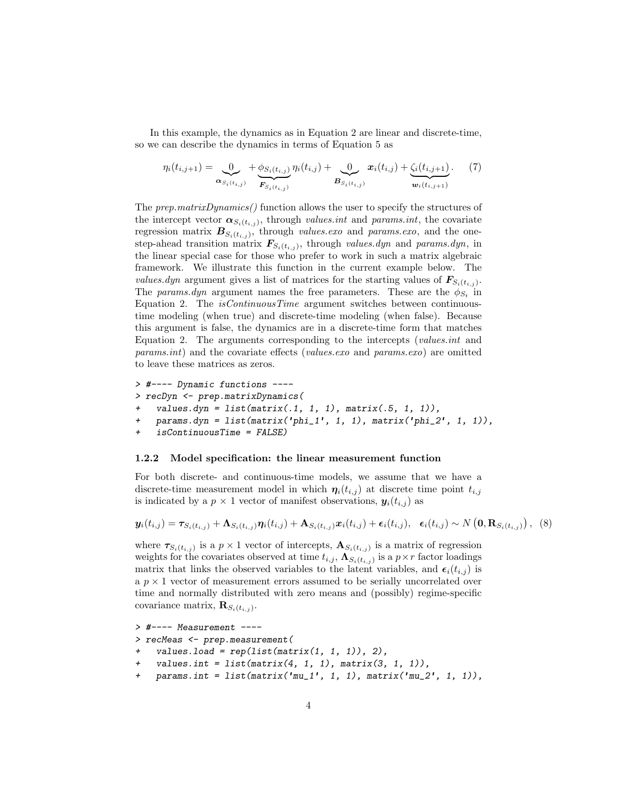In this example, the dynamics as in Equation 2 are linear and discrete-time, so we can describe the dynamics in terms of Equation 5 as

$$
\eta_i(t_{i,j+1}) = \underbrace{0}_{\alpha_{S_i(t_{i,j})}} + \underbrace{\phi_{S_i(t_{i,j})}}_{\mathbf{F}_{S_i(t_{i,j})}} \eta_i(t_{i,j}) + \underbrace{0}_{\mathbf{B}_{S_i(t_{i,j})}} \mathbf{x}_i(t_{i,j}) + \underbrace{\zeta_i(t_{i,j+1})}_{\mathbf{w}_i(t_{i,j+1})}. \tag{7}
$$

The prep.matrixDynamics() function allows the user to specify the structures of the intercept vector  $\alpha_{S_i(t_{i,j})}$ , through values.int and params.int, the covariate regression matrix  $B_{S_i(t_{i,j})}$ , through values.exo and params.exo, and the onestep-ahead transition matrix  $\mathbf{F}_{S_i(t_{i,j})}$ , through values.dyn and params.dyn, in the linear special case for those who prefer to work in such a matrix algebraic framework. We illustrate this function in the current example below. The values.dyn argument gives a list of matrices for the starting values of  $\mathbf{F}_{S_i(t_{i,j})}$ . The params.dyn argument names the free parameters. These are the  $\phi_{S_t}$  in Equation 2. The *isContinuousTime* argument switches between continuoustime modeling (when true) and discrete-time modeling (when false). Because this argument is false, the dynamics are in a discrete-time form that matches Equation 2. The arguments corresponding to the intercepts (values.int and params.int) and the covariate effects (values.exo and params.exo) are omitted to leave these matrices as zeros.

```
> #---- Dynamic functions ----
> recDyn <- prep.matrixDynamics(
   values.dyn = list(matrix(.1, 1, 1), matrix(.5, 1, 1)),
   params.dyn = list(matrix('phi_1', 1, 1), matrix('phi_2', 1, 1)),+ isContinuousTime = FALSE)
```
#### 1.2.2 Model specification: the linear measurement function

For both discrete- and continuous-time models, we assume that we have a discrete-time measurement model in which  $\eta_i(t_{i,j})$  at discrete time point  $t_{i,j}$ is indicated by a  $p \times 1$  vector of manifest observations,  $y_i(t_{i,j})$  as

$$
\mathbf{y}_i(t_{i,j}) = \boldsymbol{\tau}_{S_i(t_{i,j})} + \boldsymbol{\Lambda}_{S_i(t_{i,j})} \boldsymbol{\eta}_i(t_{i,j}) + \boldsymbol{\Lambda}_{S_i(t_{i,j})} \boldsymbol{x}_i(t_{i,j}) + \boldsymbol{\epsilon}_i(t_{i,j}), \quad \boldsymbol{\epsilon}_i(t_{i,j}) \sim N\left(\mathbf{0}, \mathbf{R}_{S_i(t_{i,j})}\right), \tag{8}
$$

where  $\tau_{S_i(t_{i,j})}$  is a  $p \times 1$  vector of intercepts,  $\mathbf{A}_{S_i(t_{i,j})}$  is a matrix of regression weights for the covariates observed at time  $t_{i,j}$ ,  $\mathbf{\Lambda}_{S_i(t_{i,j})}$  is a  $p \times r$  factor loadings matrix that links the observed variables to the latent variables, and  $\epsilon_i(t_{i,j})$  is a  $p \times 1$  vector of measurement errors assumed to be serially uncorrelated over time and normally distributed with zero means and (possibly) regime-specific covariance matrix,  $\mathbf{R}_{S_i(t_{i,j})}$ .

```
> #---- Measurement ----
> recMeas <- prep.measurement(
    values.load = rep(list(matrix(1, 1, 1)), 2),values.int = list(matrix(4, 1, 1), matrix(3, 1, 1)),
   params.int = list(matrix('mu_1', 1, 1), matrix('mu_2', 1, 1)),
```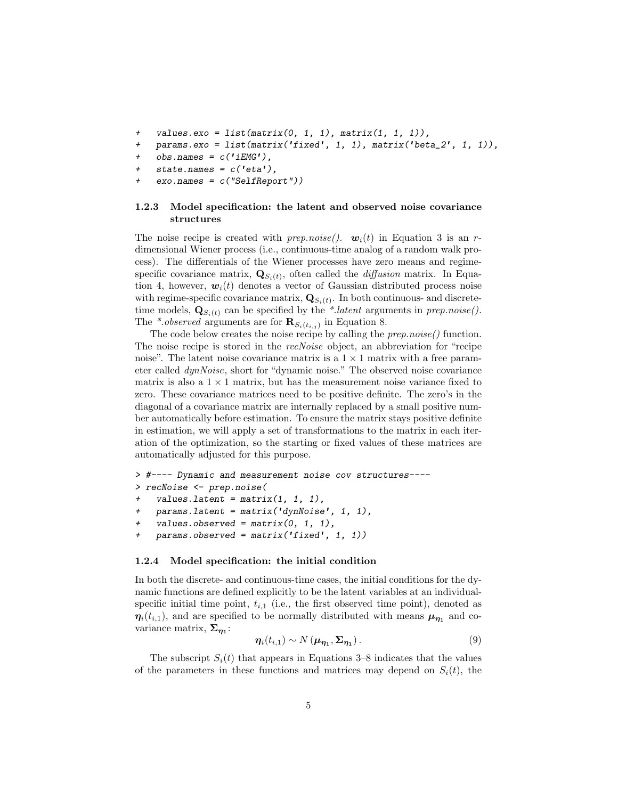- + values.exo = list(matrix(0, 1, 1), matrix(1, 1, 1)),
- + params.exo = list(matrix('fixed', 1, 1), matrix('beta\_2', 1, 1)),
- $obs.name = c('iEMG'),$
- + state.names =  $c('eta'),$
- $exo.name = c('SelfReport"))$

#### 1.2.3 Model specification: the latent and observed noise covariance structures

The noise recipe is created with prep.noise().  $w_i(t)$  in Equation 3 is an rdimensional Wiener process (i.e., continuous-time analog of a random walk process). The differentials of the Wiener processes have zero means and regimespecific covariance matrix,  $\mathbf{Q}_{S_i(t)}$ , often called the *diffusion* matrix. In Equation 4, however,  $w_i(t)$  denotes a vector of Gaussian distributed process noise with regime-specific covariance matrix,  $\mathbf{Q}_{S_i(t)}$ . In both continuous- and discretetime models,  $\mathbf{Q}_{S_i(t)}$  can be specified by the \*.latent arguments in prep.noise(). The \*.*observed* arguments are for  $\mathbf{R}_{S_i(t_{i,j})}$  in Equation 8.

The code below creates the noise recipe by calling the  $prep.noise()$  function. The noise recipe is stored in the *recNoise* object, an abbreviation for "recipe noise". The latent noise covariance matrix is a  $1 \times 1$  matrix with a free parameter called dynNoise, short for "dynamic noise." The observed noise covariance matrix is also a  $1 \times 1$  matrix, but has the measurement noise variance fixed to zero. These covariance matrices need to be positive definite. The zero's in the diagonal of a covariance matrix are internally replaced by a small positive number automatically before estimation. To ensure the matrix stays positive definite in estimation, we will apply a set of transformations to the matrix in each iteration of the optimization, so the starting or fixed values of these matrices are automatically adjusted for this purpose.

```
> #---- Dynamic and measurement noise cov structures----
> recNoise <- prep.noise(
    values. latent = matrix(1, 1, 1),
   params. latent = matrix('dynNoise', 1, 1),
    values.observed = matrix(0, 1, 1),
   params. observed = matrix('fixed', 1, 1))
```
#### 1.2.4 Model specification: the initial condition

In both the discrete- and continuous-time cases, the initial conditions for the dynamic functions are defined explicitly to be the latent variables at an individualspecific initial time point,  $t_{i,1}$  (i.e., the first observed time point), denoted as  $\eta_i(t_{i,1})$ , and are specified to be normally distributed with means  $\mu_{\eta_1}$  and covariance matrix,  $\Sigma_{\eta_1}$ :

$$
\eta_i(t_{i,1}) \sim N(\boldsymbol{\mu}_{\boldsymbol{\eta}_1}, \boldsymbol{\Sigma}_{\boldsymbol{\eta}_1}). \tag{9}
$$

The subscript  $S_i(t)$  that appears in Equations 3–8 indicates that the values of the parameters in these functions and matrices may depend on  $S_i(t)$ , the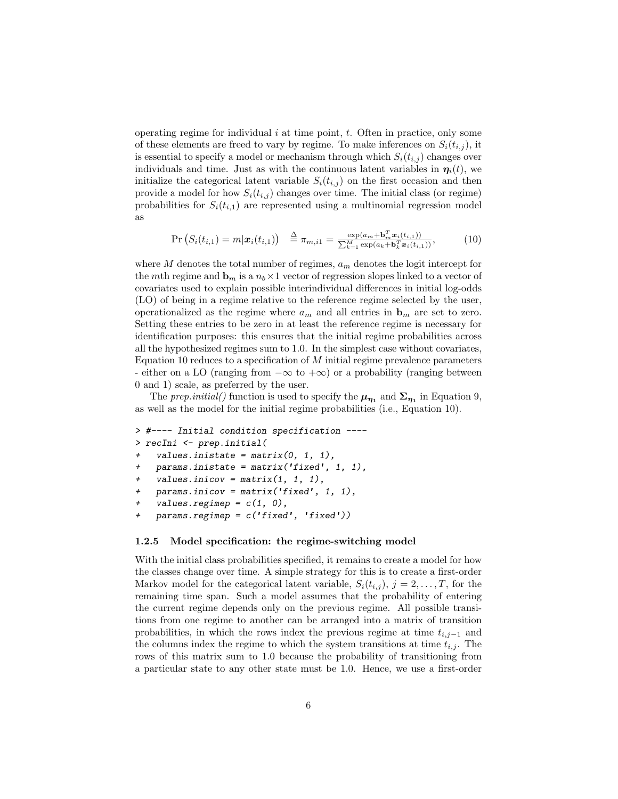operating regime for individual  $i$  at time point,  $t$ . Often in practice, only some of these elements are freed to vary by regime. To make inferences on  $S_i(t_{i,j})$ , it is essential to specify a model or mechanism through which  $S_i(t_{i,j})$  changes over individuals and time. Just as with the continuous latent variables in  $\eta_i(t)$ , we initialize the categorical latent variable  $S_i(t_{i,j})$  on the first occasion and then provide a model for how  $S_i(t_{i,j})$  changes over time. The initial class (or regime) probabilities for  $S_i(t_{i,1})$  are represented using a multinomial regression model as

$$
\Pr\left(S_i(t_{i,1}) = m | \mathbf{x}_i(t_{i,1})\right) \stackrel{\Delta}{=} \pi_{m,i1} = \frac{\exp(a_m + \mathbf{b}_m^T \mathbf{x}_i(t_{i,1}))}{\sum_{k=1}^M \exp(a_k + \mathbf{b}_k^T \mathbf{x}_i(t_{i,1}))},\tag{10}
$$

where  $M$  denotes the total number of regimes,  $a_m$  denotes the logit intercept for the mth regime and  $\mathbf{b}_m$  is a  $n_b \times 1$  vector of regression slopes linked to a vector of covariates used to explain possible interindividual differences in initial log-odds (LO) of being in a regime relative to the reference regime selected by the user, operationalized as the regime where  $a_m$  and all entries in  $\mathbf{b}_m$  are set to zero. Setting these entries to be zero in at least the reference regime is necessary for identification purposes: this ensures that the initial regime probabilities across all the hypothesized regimes sum to 1.0. In the simplest case without covariates, Equation 10 reduces to a specification of  $M$  initial regime prevalence parameters - either on a LO (ranging from  $-\infty$  to  $+\infty$ ) or a probability (ranging between 0 and 1) scale, as preferred by the user.

The prep.initial() function is used to specify the  $\mu_{\eta_1}$  and  $\Sigma_{\eta_1}$  in Equation 9, as well as the model for the initial regime probabilities (i.e., Equation 10).

```
> #---- Initial condition specification ----
> recIni <- prep.initial(
   values.inistate = matrix(0, 1, 1),params.inistate = matrix('fixed', 1, 1),values.inicov = matrix(1, 1, 1),
   params.inicov = matrix('fixed', 1, 1),values.regimep = c(1, 0),
+ params.regimep = c('fixed', 'fixed'))
```
#### 1.2.5 Model specification: the regime-switching model

With the initial class probabilities specified, it remains to create a model for how the classes change over time. A simple strategy for this is to create a first-order Markov model for the categorical latent variable,  $S_i(t_{i,j}), j = 2, \ldots, T$ , for the remaining time span. Such a model assumes that the probability of entering the current regime depends only on the previous regime. All possible transitions from one regime to another can be arranged into a matrix of transition probabilities, in which the rows index the previous regime at time  $t_{i,j-1}$  and the columns index the regime to which the system transitions at time  $t_{i,j}$ . The rows of this matrix sum to 1.0 because the probability of transitioning from a particular state to any other state must be 1.0. Hence, we use a first-order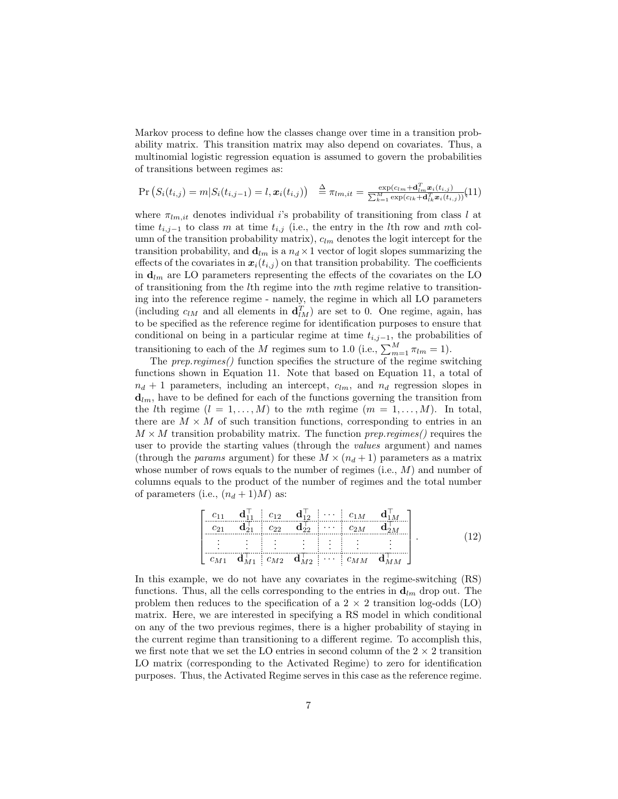Markov process to define how the classes change over time in a transition probability matrix. This transition matrix may also depend on covariates. Thus, a multinomial logistic regression equation is assumed to govern the probabilities of transitions between regimes as:

$$
\Pr\left(S_i(t_{i,j}) = m | S_i(t_{i,j-1}) = l, \mathbf{x}_i(t_{i,j})\right) \stackrel{\Delta}{=} \pi_{lm, it} = \frac{\exp(c_{lm} + \mathbf{d}_{lm}^T \mathbf{x}_i(t_{i,j})}{\sum_{k=1}^M \exp(c_{lk} + \mathbf{d}_{lk}^T \mathbf{x}_i(t_{i,j}))} (11)
$$

where  $\pi_{lm,it}$  denotes individual i's probability of transitioning from class l at time  $t_{i,j-1}$  to class m at time  $t_{i,j}$  (i.e., the entry in the lth row and mth column of the transition probability matrix),  $c_{lm}$  denotes the logit intercept for the transition probability, and  $\mathbf{d}_{lm}$  is a  $n_d \times 1$  vector of logit slopes summarizing the effects of the covariates in  $x_i(t_{i,j})$  on that transition probability. The coefficients in  $\mathbf{d}_{lm}$  are LO parameters representing the effects of the covariates on the LO of transitioning from the lth regime into the mth regime relative to transitioning into the reference regime - namely, the regime in which all LO parameters (including  $c_{lM}$  and all elements in  $\mathbf{d}_{lM}^T$ ) are set to 0. One regime, again, has to be specified as the reference regime for identification purposes to ensure that conditional on being in a particular regime at time  $t_{i,j-1}$ , the probabilities of transitioning to each of the M regimes sum to 1.0 (i.e.,  $\sum_{m=1}^{M} \pi_{lm} = 1$ ).

The prep.regimes() function specifies the structure of the regime switching functions shown in Equation 11. Note that based on Equation 11, a total of  $n_d + 1$  parameters, including an intercept,  $c_{lm}$ , and  $n_d$  regression slopes in  $\mathbf{d}_{lm}$ , have to be defined for each of the functions governing the transition from the *l*th regime  $(l = 1, ..., M)$  to the *mth* regime  $(m = 1, ..., M)$ . In total, there are  $M \times M$  of such transition functions, corresponding to entries in an  $M \times M$  transition probability matrix. The function *prep.regimes*() requires the user to provide the starting values (through the values argument) and names (through the *params* argument) for these  $M \times (n_d + 1)$  parameters as a matrix whose number of rows equals to the number of regimes  $(i.e., M)$  and number of columns equals to the product of the number of regimes and the total number of parameters (i.e.,  $(n_d + 1)M$ ) as:

$$
\begin{bmatrix} c_{11} & \mathbf{d}_{11}^{\top} & c_{12} & \mathbf{d}_{12}^{\top} & \cdots & c_{1M} & \mathbf{d}_{1M}^{\top} \\ c_{21} & \mathbf{d}_{21}^{\top} & c_{22} & \mathbf{d}_{22}^{\top} & \cdots & c_{2M} & \mathbf{d}_{2M}^{\top} \\ \vdots & \vdots & \vdots & \vdots & \vdots & \vdots \\ c_{M1} & \mathbf{d}_{M1} & c_{M2} & \mathbf{d}_{M2} & \cdots & c_{MM} & \mathbf{d}_{MM} \end{bmatrix}.
$$
 (12)

In this example, we do not have any covariates in the regime-switching (RS) functions. Thus, all the cells corresponding to the entries in  $\mathbf{d}_{lm}$  drop out. The problem then reduces to the specification of a  $2 \times 2$  transition log-odds (LO) matrix. Here, we are interested in specifying a RS model in which conditional on any of the two previous regimes, there is a higher probability of staying in the current regime than transitioning to a different regime. To accomplish this, we first note that we set the LO entries in second column of the  $2 \times 2$  transition LO matrix (corresponding to the Activated Regime) to zero for identification purposes. Thus, the Activated Regime serves in this case as the reference regime.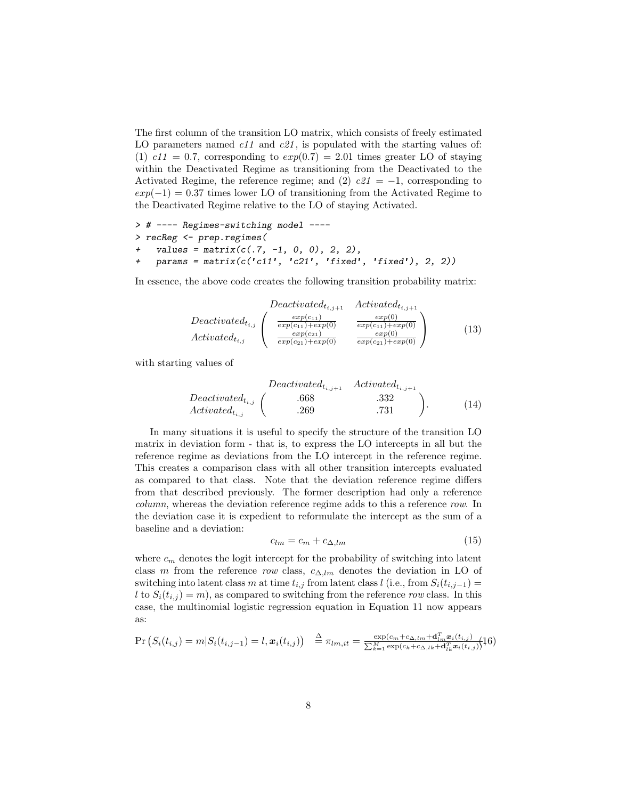The first column of the transition LO matrix, which consists of freely estimated LO parameters named  $c11$  and  $c21$ , is populated with the starting values of: (1)  $c11 = 0.7$ , corresponding to  $exp(0.7) = 2.01$  times greater LO of staying within the Deactivated Regime as transitioning from the Deactivated to the Activated Regime, the reference regime; and (2)  $c21 = -1$ , corresponding to  $exp(-1) = 0.37$  times lower LO of transitioning from the Activated Regime to the Deactivated Regime relative to the LO of staying Activated.

```
> # ---- Regimes-switching model ----
> recReg <- prep.regimes(
    values = matrix(c(.7, -1, 0, 0), 2, 2),+ params = matrix(c('c11', 'c21', 'fixed', 'fixed'), 2, 2))
```
In essence, the above code creates the following transition probability matrix:

$$
Deactivated_{t_{i,j+1}} \n\text{Decativated}_{t_{i,j}} \left( \begin{array}{cc} \frac{exp(c_{11})}{exp(c_{11})+exp(0)} & \frac{exp(0)}{exp(c_{11})+exp(0)} \\ \frac{exp(c_{11})+exp(0)}{exp(c_{21})+exp(0)} & \frac{exp(c_{11})+exp(0)}{exp(c_{21})+exp(0)} \end{array} \right) \tag{13}
$$

with starting values of

$$
Deactivated_{t_{i,j+1}} \quad Activeated_{t_{i,j+1}} \quad Activeated_{t_{i,j}} \quad \text{(14)}
$$
\n
$$
Activedt_{t_{i,j}} \quad \left( \begin{array}{ccc} .668 & .332 \\ .269 & .731 \end{array} \right).
$$

In many situations it is useful to specify the structure of the transition LO matrix in deviation form - that is, to express the LO intercepts in all but the reference regime as deviations from the LO intercept in the reference regime. This creates a comparison class with all other transition intercepts evaluated as compared to that class. Note that the deviation reference regime differs from that described previously. The former description had only a reference column, whereas the deviation reference regime adds to this a reference row. In the deviation case it is expedient to reformulate the intercept as the sum of a baseline and a deviation:

$$
c_{lm} = c_m + c_{\Delta,lm} \tag{15}
$$

where  $c_m$  denotes the logit intercept for the probability of switching into latent class m from the reference row class,  $c_{\Delta,lm}$  denotes the deviation in LO of switching into latent class m at time  $t_{i,j}$  from latent class l (i.e., from  $S_i(t_{i,j-1}) =$ l to  $S_i(t_{i,j}) = m$ , as compared to switching from the reference row class. In this case, the multinomial logistic regression equation in Equation 11 now appears as:

$$
\Pr\left(S_i(t_{i,j}) = m | S_i(t_{i,j-1}) = l, \boldsymbol{x}_i(t_{i,j})\right) \geq \pi_{lm, it} = \frac{\exp(c_m + c_{\Delta, lm} + \mathbf{d}_{lm}^T \boldsymbol{x}_i(t_{i,j})}{\sum_{k=1}^M \exp(c_k + c_{\Delta, lk} + \mathbf{d}_{lk}^T \boldsymbol{x}_i(t_{i,j})}) \tag{16}
$$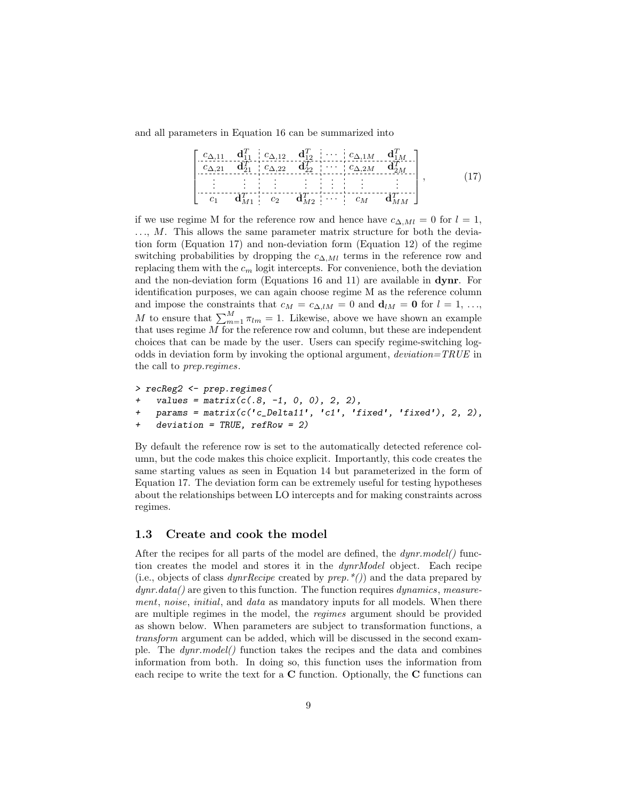and all parameters in Equation 16 can be summarized into

$$
\begin{bmatrix} c_{\Delta,11} & \mathbf{d}_{11}^T & c_{\Delta,12} & \mathbf{d}_{12}^T & \cdots & c_{\Delta,1M} & \mathbf{d}_{1M}^T \\ c_{\Delta,21} & \mathbf{d}_{21}^T & c_{\Delta,22} & \mathbf{d}_{22}^T & \cdots & c_{\Delta,2M} & \mathbf{d}_{2M}^T \\ \vdots & \vdots & \vdots & \vdots & \vdots & \vdots & \vdots \\ c_1 & \mathbf{d}_{M1}^T & c_2 & \mathbf{d}_{M2}^T & \cdots & c_M & \mathbf{d}_{MM}^T \end{bmatrix},
$$
(17)

if we use regime M for the reference row and hence have  $c_{\Delta, Ml} = 0$  for  $l = 1$ ,  $..., M.$  This allows the same parameter matrix structure for both the deviation form (Equation 17) and non-deviation form (Equation 12) of the regime switching probabilities by dropping the  $c_{\Delta,Ml}$  terms in the reference row and replacing them with the  $c_m$  logit intercepts. For convenience, both the deviation and the non-deviation form (Equations 16 and 11) are available in dynr. For identification purposes, we can again choose regime M as the reference column and impose the constraints that  $c_M = c_{\Delta,lM} = 0$  and  $\mathbf{d}_{lM} = \mathbf{0}$  for  $l = 1, \ldots,$ M to ensure that  $\sum_{m=1}^{M} \pi_{lm} = 1$ . Likewise, above we have shown an example that uses regime M for the reference row and column, but these are independent choices that can be made by the user. Users can specify regime-switching logodds in deviation form by invoking the optional argument,  $deviation = TRUE$  in the call to prep.regimes.

```
> recReg2 <- prep.regimes(
+ values = matrix(c(.8, -1, 0, 0), 2, 2),
   params = matrix(c('c_Deltail', 'c1', 'fixed', 'fixed'), 2, 2),+ deviation = TRUE, refRow = 2)
```
By default the reference row is set to the automatically detected reference column, but the code makes this choice explicit. Importantly, this code creates the same starting values as seen in Equation 14 but parameterized in the form of Equation 17. The deviation form can be extremely useful for testing hypotheses about the relationships between LO intercepts and for making constraints across regimes.

#### 1.3 Create and cook the model

After the recipes for all parts of the model are defined, the  $dynr_model()$  function creates the model and stores it in the dynrModel object. Each recipe (i.e., objects of class  $\frac{dynrRecipe}{}$  created by  $\frac{prep.*}{)}$  and the data prepared by  $dynr.data()$  are given to this function. The function requires  $dynamics$ , measurement, noise, initial, and data as mandatory inputs for all models. When there are multiple regimes in the model, the regimes argument should be provided as shown below. When parameters are subject to transformation functions, a transform argument can be added, which will be discussed in the second example. The dynr.model() function takes the recipes and the data and combines information from both. In doing so, this function uses the information from each recipe to write the text for a C function. Optionally, the C functions can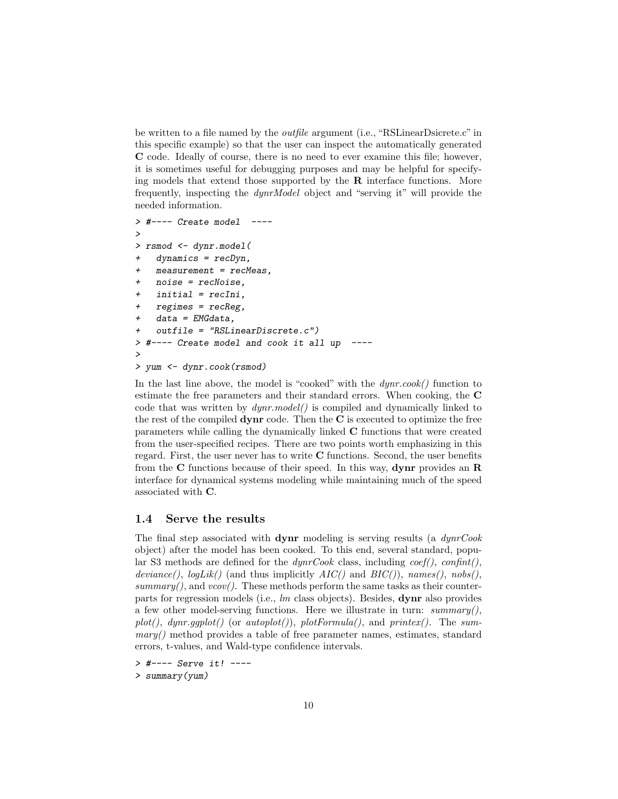be written to a file named by the outfile argument (i.e., "RSLinearDsicrete.c" in this specific example) so that the user can inspect the automatically generated C code. Ideally of course, there is no need to ever examine this file; however, it is sometimes useful for debugging purposes and may be helpful for specifying models that extend those supported by the  $\bf{R}$  interface functions. More frequently, inspecting the dynrModel object and "serving it" will provide the needed information.

```
> #---- Create model ----
>
> rsmod <- dynr.model(
+ dynamics = recDyn,
   measurement = recMeas.
   noise = recNoise.
   initial = recIni,regimes = recReg,data = EMGdata,+ outfile = "RSLinearDiscrete.c")
> #---- Create model and cook it all up ----
>
> yum <- dynr.cook(rsmod)
```
In the last line above, the model is "cooked" with the  $dynr.cook()$  function to estimate the free parameters and their standard errors. When cooking, the C code that was written by  $dynr_model()$  is compiled and dynamically linked to the rest of the compiled  $\bf{dynr}$  code. Then the  $\bf{C}$  is executed to optimize the free parameters while calling the dynamically linked C functions that were created from the user-specified recipes. There are two points worth emphasizing in this regard. First, the user never has to write C functions. Second, the user benefits from the C functions because of their speed. In this way, **dynr** provides an  $\bf{R}$ interface for dynamical systems modeling while maintaining much of the speed associated with C.

#### 1.4 Serve the results

The final step associated with **dynr** modeling is serving results (a  $dynrCook$ object) after the model has been cooked. To this end, several standard, popular S3 methods are defined for the  $dynrCook$  class, including  $coef(),$  confint(), deviance(),  $logLik()$  (and thus implicitly  $AIC()$  and  $BIC()$ ), names(), nobs(), summary(), and  $vcov()$ . These methods perform the same tasks as their counterparts for regression models (i.e., lm class objects). Besides, dynr also provides a few other model-serving functions. Here we illustrate in turn:  $summary(),$  $plot(),$  dynr.gqplot() (or autoplot()), plotFormula(), and printex(). The sum $mary()$  method provides a table of free parameter names, estimates, standard errors, t-values, and Wald-type confidence intervals.

> #---- Serve it! ----

> summary(yum)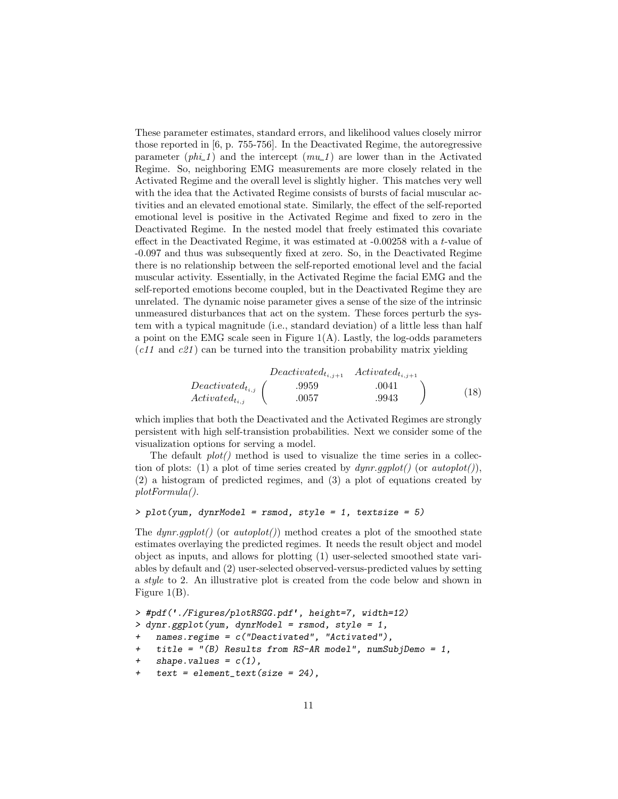These parameter estimates, standard errors, and likelihood values closely mirror those reported in [6, p. 755-756]. In the Deactivated Regime, the autoregressive parameter  $(\rho h \iota_1)$  and the intercept  $(\rho m \iota_1)$  are lower than in the Activated Regime. So, neighboring EMG measurements are more closely related in the Activated Regime and the overall level is slightly higher. This matches very well with the idea that the Activated Regime consists of bursts of facial muscular activities and an elevated emotional state. Similarly, the effect of the self-reported emotional level is positive in the Activated Regime and fixed to zero in the Deactivated Regime. In the nested model that freely estimated this covariate effect in the Deactivated Regime, it was estimated at -0.00258 with a t-value of -0.097 and thus was subsequently fixed at zero. So, in the Deactivated Regime there is no relationship between the self-reported emotional level and the facial muscular activity. Essentially, in the Activated Regime the facial EMG and the self-reported emotions become coupled, but in the Deactivated Regime they are unrelated. The dynamic noise parameter gives a sense of the size of the intrinsic unmeasured disturbances that act on the system. These forces perturb the system with a typical magnitude (i.e., standard deviation) of a little less than half a point on the EMG scale seen in Figure  $1(A)$ . Lastly, the log-odds parameters  $(c11 \text{ and } c21)$  can be turned into the transition probability matrix yielding

$$
Deactivated_{t_{i,j+1}} \n \text{Actual}_{t_{i,j+1}} \n \text{Actual}_{t_{i,j+1}} \n \text{Actual}_{t_{i,j}} \n \begin{pmatrix}\n .9959 & .0041 \\
 .0057 & .9943\n \end{pmatrix} \n \tag{18}
$$

which implies that both the Deactivated and the Activated Regimes are strongly persistent with high self-transistion probabilities. Next we consider some of the visualization options for serving a model.

The default  $plot()$  method is used to visualize the time series in a collection of plots: (1) a plot of time series created by  $dynr.gqplot()$  (or  $autoplot(),$ (2) a histogram of predicted regimes, and (3) a plot of equations created by plotFormula().

#### $> plot($ yum, dynrModel = rsmod, style = 1, textsize = 5)

The  $dynr.gplot()$  (or  $autoplot())$  method creates a plot of the smoothed state estimates overlaying the predicted regimes. It needs the result object and model object as inputs, and allows for plotting (1) user-selected smoothed state variables by default and (2) user-selected observed-versus-predicted values by setting a *style* to 2. An illustrative plot is created from the code below and shown in Figure 1(B).

```
> #pdf('./Figures/plotRSGG.pdf', height=7, width=12)
> dynr.ggplot(yum, dynrModel = rsmod, style = 1,
+ names.regime = c("Deactivated", "Activated"),
+ title = "(B) Results from RS-AR model", numSubjDemo = 1,
+ shape.values = c(1),
    text = element\_text(size = 24),
```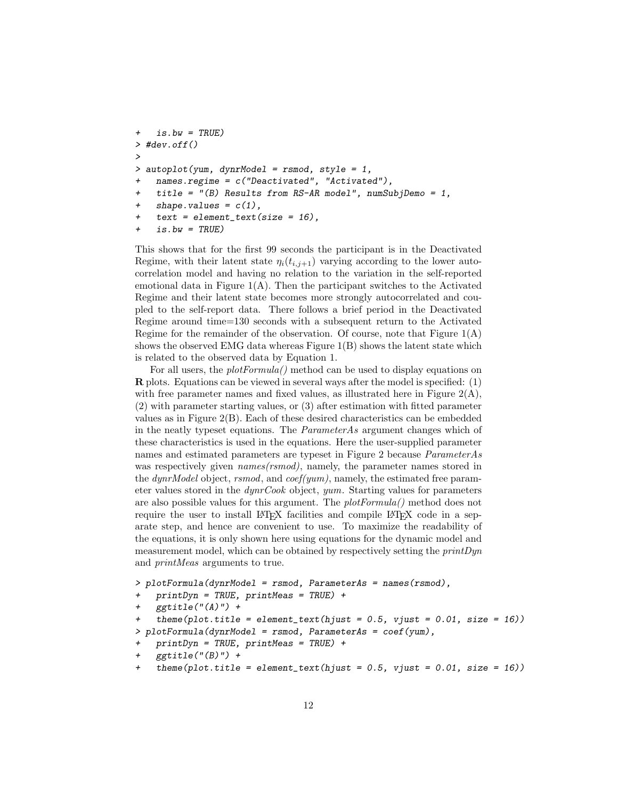```
is.bw = TRUE)
> #dev.off()
>
> autoplot(yum, dynrModel = rsmod, style = 1,
   names.regime = c("Deactivated", "Activated"),
+ title = "(B) Results from RS-AR model", numSubjDemo = 1,
    shape.values = c(1),
    text = element\_text(size = 16),
    is.bw = TRUE)
```
This shows that for the first 99 seconds the participant is in the Deactivated Regime, with their latent state  $\eta_i(t_{i,j+1})$  varying according to the lower autocorrelation model and having no relation to the variation in the self-reported emotional data in Figure  $1(A)$ . Then the participant switches to the Activated Regime and their latent state becomes more strongly autocorrelated and coupled to the self-report data. There follows a brief period in the Deactivated Regime around time=130 seconds with a subsequent return to the Activated Regime for the remainder of the observation. Of course, note that Figure  $1(A)$ shows the observed EMG data whereas Figure 1(B) shows the latent state which is related to the observed data by Equation 1.

For all users, the *plotFormula()* method can be used to display equations on R plots. Equations can be viewed in several ways after the model is specified: (1) with free parameter names and fixed values, as illustrated here in Figure  $2(A)$ , (2) with parameter starting values, or (3) after estimation with fitted parameter values as in Figure 2(B). Each of these desired characteristics can be embedded in the neatly typeset equations. The ParameterAs argument changes which of these characteristics is used in the equations. Here the user-supplied parameter names and estimated parameters are typeset in Figure 2 because ParameterAs was respectively given *names(rsmod)*, namely, the parameter names stored in the dynrModel object, rsmod, and  $coef(ymm)$ , namely, the estimated free parameter values stored in the dynrCook object, yum. Starting values for parameters are also possible values for this argument. The plotFormula() method does not require the user to install LATEX facilities and compile LATEX code in a separate step, and hence are convenient to use. To maximize the readability of the equations, it is only shown here using equations for the dynamic model and measurement model, which can be obtained by respectively setting the printDyn and printMeas arguments to true.

```
> plotFormula(dynrModel = rsmod, ParameterAs = names(rsmod),
```

```
printDyn = TRUE, printMeas = TRUE) +
```

```
ggtitle("A)") +
```

```
theme(plot.title = element_text(hjust = 0.5, vjust = 0.01, size = 16))
```

```
> plotFormula(dynrModel = rsmod, ParameterAs = coef(yum),
```

```
printDyn = TRUE, printMeas = TRUE) +
```

```
ggtitle("B)" +
```
+ theme(plot.title = element\_text(hjust = 0.5, vjust = 0.01, size =  $16$ ))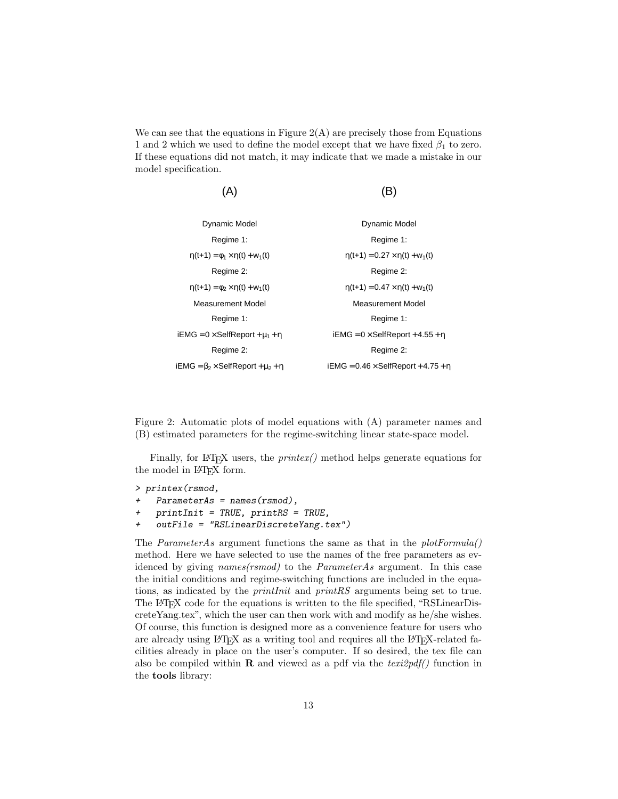We can see that the equations in Figure  $2(A)$  are precisely those from Equations 1 and 2 which we used to define the model except that we have fixed  $\beta_1$  to zero. If these equations did not match, it may indicate that we made a mistake in our model specification.

| ь                                               |
|-------------------------------------------------|
| <b>Dynamic Model</b>                            |
| Regime 1:                                       |
| $\eta(t+1) = 0.27 \times \eta(t) + w_1(t)$      |
| Regime 2:                                       |
| $\eta(t+1) = 0.47 \times \eta(t) + w_1(t)$      |
| <b>Measurement Model</b>                        |
| Regime 1:                                       |
| $iEMG = 0 \times SelfReport + 4.55 + \eta$      |
| Regime 2:                                       |
| iEMG = $0.46 \times$ SelfReport + 4.75 + $\eta$ |
|                                                 |

Figure 2: Automatic plots of model equations with (A) parameter names and (B) estimated parameters for the regime-switching linear state-space model.

Finally, for LAT<sub>E</sub>X users, the  $\text{printex}()$  method helps generate equations for the model in IAT<sub>E</sub>X form.

```
> printex(rsmod,
```

```
Parameters = names(rsmod),
```

```
+ printInit = TRUE, printRS = TRUE,
```

```
+ outFile = "RSLinearDiscreteYang.tex")
```
The ParameterAs argument functions the same as that in the  $plotFormula()$ method. Here we have selected to use the names of the free parameters as evidenced by giving names(rsmod) to the ParameterAs argument. In this case the initial conditions and regime-switching functions are included in the equations, as indicated by the printInit and printRS arguments being set to true. The LATEX code for the equations is written to the file specified, "RSLinearDiscreteYang.tex", which the user can then work with and modify as he/she wishes. Of course, this function is designed more as a convenience feature for users who are already using LAT<sub>EX</sub> as a writing tool and requires all the LAT<sub>EX</sub>-related facilities already in place on the user's computer. If so desired, the tex file can also be compiled within **R** and viewed as a pdf via the  $text2pdf()$  function in the tools library: